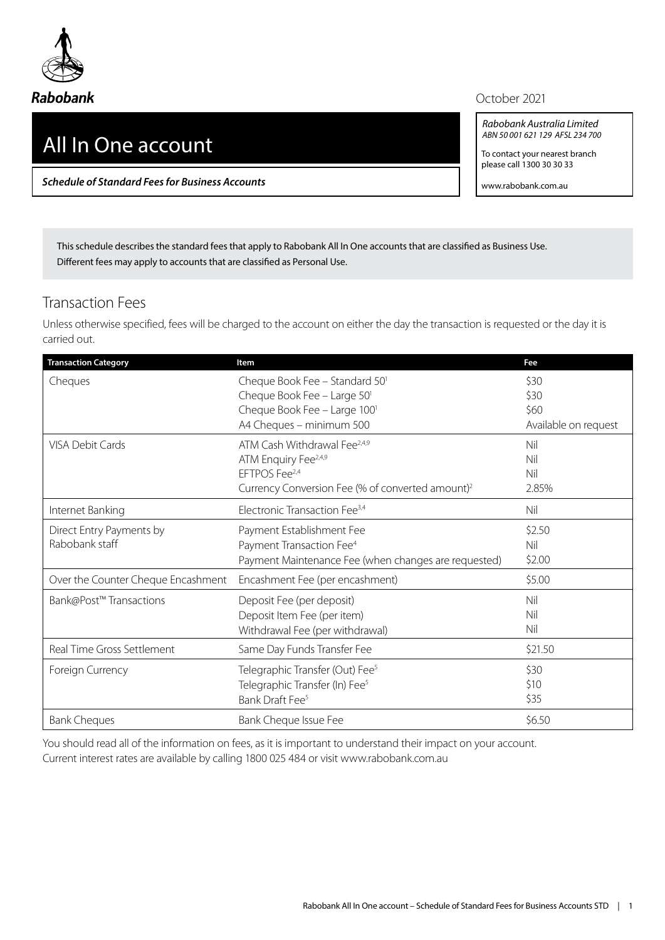

## All In One account

*Schedule of Standard Fees for Business Accounts*

October 2021

*Rabobank Australia Limited ABN 50 001 621 129 AFSL 234 700*

To contact your nearest branch please call 1300 30 30 33

www.rabobank.com.au

This schedule describes the standard fees that apply to Rabobank All In One accounts that are classified as Business Use. Different fees may apply to accounts that are classified as Personal Use.

## Transaction Fees

Unless otherwise specified, fees will be charged to the account on either the day the transaction is requested or the day it is carried out.

| <b>Transaction Category</b>        | Item                                                         | Fee                  |
|------------------------------------|--------------------------------------------------------------|----------------------|
| Cheques                            | Cheque Book Fee - Standard 50 <sup>1</sup>                   | \$30                 |
|                                    | Cheque Book Fee - Large 50'                                  | \$30                 |
|                                    | Cheque Book Fee - Large 100 <sup>1</sup>                     | \$60                 |
|                                    | A4 Cheques - minimum 500                                     | Available on request |
| <b>VISA Debit Cards</b>            | ATM Cash Withdrawal Fee <sup>2,4,9</sup>                     | Nil                  |
|                                    | ATM Enquiry Fee <sup>2,4,9</sup>                             | Nil                  |
|                                    | EFTPOS Fee <sup>2,4</sup>                                    | Nil                  |
|                                    | Currency Conversion Fee (% of converted amount) <sup>2</sup> | 2.85%                |
| Internet Banking                   | Electronic Transaction Fee <sup>3,4</sup>                    | Nil                  |
| Direct Entry Payments by           | Payment Establishment Fee                                    | \$2.50               |
| Rabobank staff                     | Payment Transaction Fee <sup>4</sup>                         | Nil                  |
|                                    | Payment Maintenance Fee (when changes are requested)         | \$2.00               |
| Over the Counter Cheque Encashment | Encashment Fee (per encashment)                              | \$5.00               |
| Bank@Post™ Transactions            | Deposit Fee (per deposit)                                    | Nil                  |
|                                    | Deposit Item Fee (per item)                                  | Nil                  |
|                                    | Withdrawal Fee (per withdrawal)                              | Nil                  |
| Real Time Gross Settlement         | Same Day Funds Transfer Fee                                  | \$21.50              |
| Foreign Currency                   | Telegraphic Transfer (Out) Fee <sup>5</sup>                  | \$30                 |
|                                    | Telegraphic Transfer (In) Fee <sup>5</sup>                   | \$10                 |
|                                    | Bank Draft Fee <sup>5</sup>                                  | \$35                 |
| <b>Bank Cheques</b>                | Bank Cheque Issue Fee                                        | \$6.50               |

You should read all of the information on fees, as it is important to understand their impact on your account. Current interest rates are available by calling 1800 025 484 or visit www.rabobank.com.au